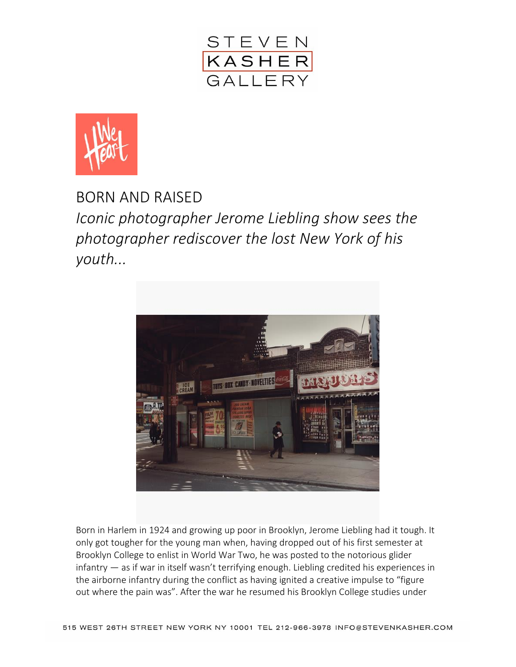



BORN AND RAISED *Iconic photographer Jerome Liebling show sees the photographer rediscover the lost New York of his youth...*



Born in Harlem in 1924 and growing up poor in Brooklyn, Jerome Liebling had it tough. It only got tougher for the young man when, having dropped out of his first semester at Brooklyn College to enlist in World War Two, he was posted to the notorious glider infantry — as if war in itself wasn't terrifying enough. Liebling credited his experiences in the airborne infantry during the conflict as having ignited a creative impulse to "figure out where the pain was". After the war he resumed his Brooklyn College studies under